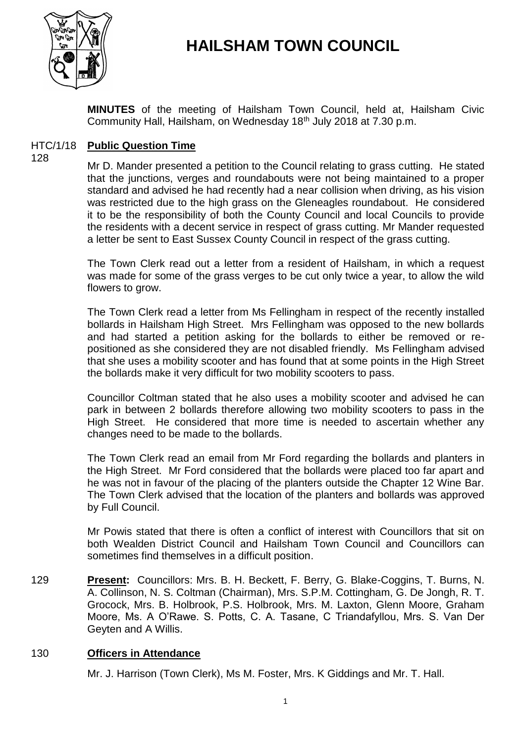

# **HAILSHAM TOWN COUNCIL**

**MINUTES** of the meeting of Hailsham Town Council, held at, Hailsham Civic Community Hall, Hailsham, on Wednesday 18th July 2018 at 7.30 p.m.

### HTC/1/18 **Public Question Time**

128

Mr D. Mander presented a petition to the Council relating to grass cutting. He stated that the junctions, verges and roundabouts were not being maintained to a proper standard and advised he had recently had a near collision when driving, as his vision was restricted due to the high grass on the Gleneagles roundabout. He considered it to be the responsibility of both the County Council and local Councils to provide the residents with a decent service in respect of grass cutting. Mr Mander requested a letter be sent to East Sussex County Council in respect of the grass cutting.

The Town Clerk read out a letter from a resident of Hailsham, in which a request was made for some of the grass verges to be cut only twice a year, to allow the wild flowers to grow.

The Town Clerk read a letter from Ms Fellingham in respect of the recently installed bollards in Hailsham High Street. Mrs Fellingham was opposed to the new bollards and had started a petition asking for the bollards to either be removed or repositioned as she considered they are not disabled friendly. Ms Fellingham advised that she uses a mobility scooter and has found that at some points in the High Street the bollards make it very difficult for two mobility scooters to pass.

Councillor Coltman stated that he also uses a mobility scooter and advised he can park in between 2 bollards therefore allowing two mobility scooters to pass in the High Street. He considered that more time is needed to ascertain whether any changes need to be made to the bollards.

The Town Clerk read an email from Mr Ford regarding the bollards and planters in the High Street. Mr Ford considered that the bollards were placed too far apart and he was not in favour of the placing of the planters outside the Chapter 12 Wine Bar. The Town Clerk advised that the location of the planters and bollards was approved by Full Council.

Mr Powis stated that there is often a conflict of interest with Councillors that sit on both Wealden District Council and Hailsham Town Council and Councillors can sometimes find themselves in a difficult position.

129 **Present:** Councillors: Mrs. B. H. Beckett, F. Berry, G. Blake-Coggins, T. Burns, N. A. Collinson, N. S. Coltman (Chairman), Mrs. S.P.M. Cottingham, G. De Jongh, R. T. Grocock, Mrs. B. Holbrook, P.S. Holbrook, Mrs. M. Laxton, Glenn Moore, Graham Moore, Ms. A O'Rawe. S. Potts, C. A. Tasane, C Triandafyllou, Mrs. S. Van Der Geyten and A Willis.

# 130 **Officers in Attendance**

Mr. J. Harrison (Town Clerk), Ms M. Foster, Mrs. K Giddings and Mr. T. Hall.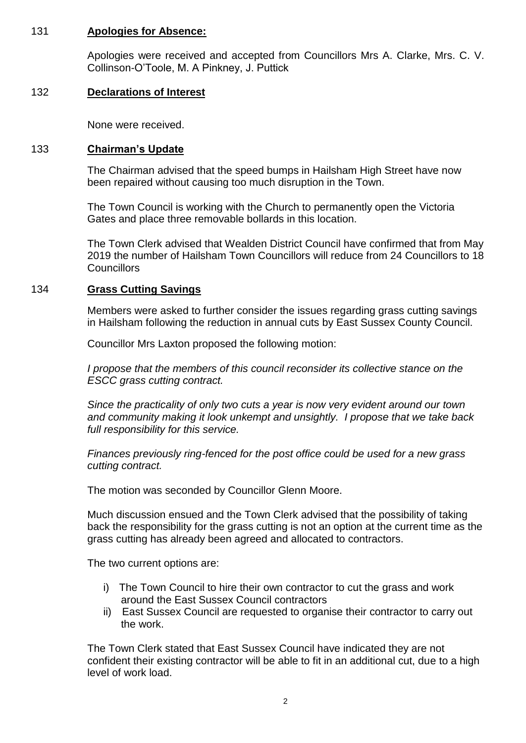# 131 **Apologies for Absence:**

Apologies were received and accepted from Councillors Mrs A. Clarke, Mrs. C. V. Collinson-O'Toole, M. A Pinkney, J. Puttick

# 132 **Declarations of Interest**

None were received.

# 133 **Chairman's Update**

The Chairman advised that the speed bumps in Hailsham High Street have now been repaired without causing too much disruption in the Town.

The Town Council is working with the Church to permanently open the Victoria Gates and place three removable bollards in this location.

The Town Clerk advised that Wealden District Council have confirmed that from May 2019 the number of Hailsham Town Councillors will reduce from 24 Councillors to 18 **Councillors** 

# 134 **Grass Cutting Savings**

Members were asked to further consider the issues regarding grass cutting savings in Hailsham following the reduction in annual cuts by East Sussex County Council.

Councillor Mrs Laxton proposed the following motion:

*I propose that the members of this council reconsider its collective stance on the ESCC grass cutting contract.*

*Since the practicality of only two cuts a year is now very evident around our town and community making it look unkempt and unsightly. I propose that we take back full responsibility for this service.*

*Finances previously ring-fenced for the post office could be used for a new grass cutting contract.*

The motion was seconded by Councillor Glenn Moore.

Much discussion ensued and the Town Clerk advised that the possibility of taking back the responsibility for the grass cutting is not an option at the current time as the grass cutting has already been agreed and allocated to contractors.

The two current options are:

- i) The Town Council to hire their own contractor to cut the grass and work around the East Sussex Council contractors
- ii) East Sussex Council are requested to organise their contractor to carry out the work.

The Town Clerk stated that East Sussex Council have indicated they are not confident their existing contractor will be able to fit in an additional cut, due to a high level of work load.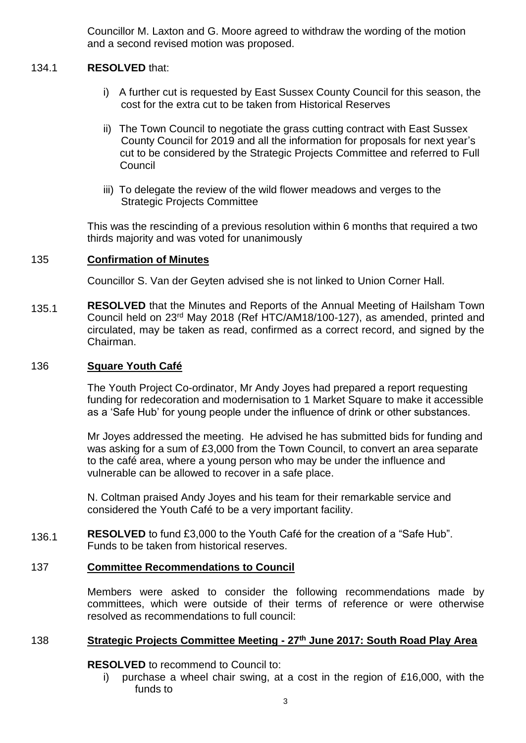Councillor M. Laxton and G. Moore agreed to withdraw the wording of the motion and a second revised motion was proposed.

### 134.1 **RESOLVED** that:

- i) A further cut is requested by East Sussex County Council for this season, the cost for the extra cut to be taken from Historical Reserves
- ii) The Town Council to negotiate the grass cutting contract with East Sussex County Council for 2019 and all the information for proposals for next year's cut to be considered by the Strategic Projects Committee and referred to Full Council
- iii) To delegate the review of the wild flower meadows and verges to the Strategic Projects Committee

This was the rescinding of a previous resolution within 6 months that required a two thirds majority and was voted for unanimously

### 135 **Confirmation of Minutes**

Councillor S. Van der Geyten advised she is not linked to Union Corner Hall.

135.1 **RESOLVED** that the Minutes and Reports of the Annual Meeting of Hailsham Town Council held on 23rd May 2018 (Ref HTC/AM18/100-127), as amended, printed and circulated, may be taken as read, confirmed as a correct record, and signed by the Chairman.

#### 136 **Square Youth Café**

The Youth Project Co-ordinator, Mr Andy Joyes had prepared a report requesting funding for redecoration and modernisation to 1 Market Square to make it accessible as a 'Safe Hub' for young people under the influence of drink or other substances.

Mr Joyes addressed the meeting. He advised he has submitted bids for funding and was asking for a sum of £3,000 from the Town Council, to convert an area separate to the café area, where a young person who may be under the influence and vulnerable can be allowed to recover in a safe place.

N. Coltman praised Andy Joyes and his team for their remarkable service and considered the Youth Café to be a very important facility.

136.1 **RESOLVED** to fund £3,000 to the Youth Café for the creation of a "Safe Hub". Funds to be taken from historical reserves.

# 137 **Committee Recommendations to Council**

Members were asked to consider the following recommendations made by committees, which were outside of their terms of reference or were otherwise resolved as recommendations to full council:

# 138 **Strategic Projects Committee Meeting - 27th June 2017: South Road Play Area**

**RESOLVED** to recommend to Council to:

i) purchase a wheel chair swing, at a cost in the region of £16,000, with the funds to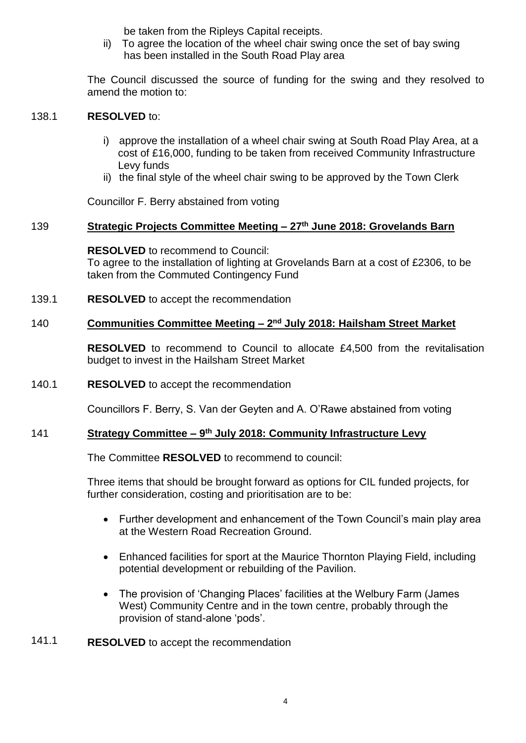be taken from the Ripleys Capital receipts.

ii) To agree the location of the wheel chair swing once the set of bay swing has been installed in the South Road Play area

The Council discussed the source of funding for the swing and they resolved to amend the motion to:

### 138.1 **RESOLVED** to:

- i) approve the installation of a wheel chair swing at South Road Play Area, at a cost of £16,000, funding to be taken from received Community Infrastructure Levy funds
- ii) the final style of the wheel chair swing to be approved by the Town Clerk

Councillor F. Berry abstained from voting

### 139 **Strategic Projects Committee Meeting – 27th June 2018: Grovelands Barn**

# **RESOLVED** to recommend to Council:

To agree to the installation of lighting at Grovelands Barn at a cost of £2306, to be taken from the Commuted Contingency Fund

139.1 **RESOLVED** to accept the recommendation

### 140 **Communities Committee Meeting – 2 nd July 2018: Hailsham Street Market**

**RESOLVED** to recommend to Council to allocate £4,500 from the revitalisation budget to invest in the Hailsham Street Market

140.1 **RESOLVED** to accept the recommendation

Councillors F. Berry, S. Van der Geyten and A. O'Rawe abstained from voting

### 141 **Strategy Committee – 9 th July 2018: Community Infrastructure Levy**

The Committee **RESOLVED** to recommend to council:

Three items that should be brought forward as options for CIL funded projects, for further consideration, costing and prioritisation are to be:

- Further development and enhancement of the Town Council's main play area at the Western Road Recreation Ground.
- Enhanced facilities for sport at the Maurice Thornton Playing Field, including potential development or rebuilding of the Pavilion.
- The provision of 'Changing Places' facilities at the Welbury Farm (James West) Community Centre and in the town centre, probably through the provision of stand-alone 'pods'.
- 141.1 **RESOLVED** to accept the recommendation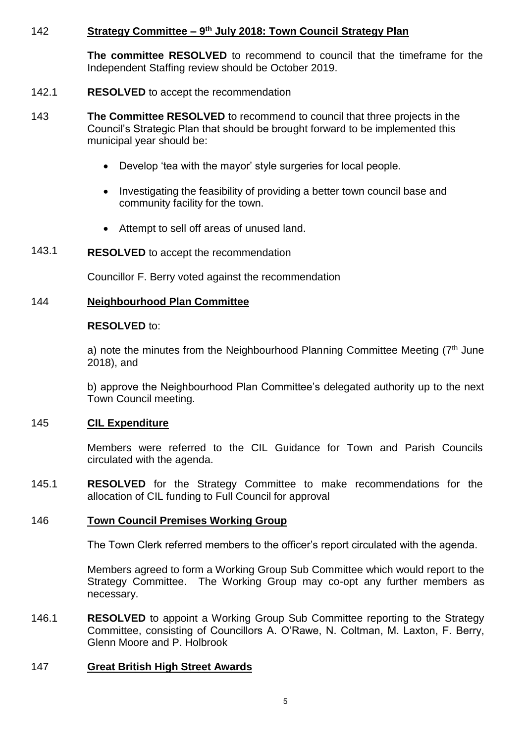### 142 **Strategy Committee – 9 th July 2018: Town Council Strategy Plan**

**The committee RESOLVED** to recommend to council that the timeframe for the Independent Staffing review should be October 2019.

- 142.1 **RESOLVED** to accept the recommendation
- 143 **The Committee RESOLVED** to recommend to council that three projects in the Council's Strategic Plan that should be brought forward to be implemented this municipal year should be:
	- Develop 'tea with the mayor' style surgeries for local people.
	- Investigating the feasibility of providing a better town council base and community facility for the town.
	- Attempt to sell off areas of unused land.
- 143.1 **RESOLVED** to accept the recommendation

Councillor F. Berry voted against the recommendation

# 144 **Neighbourhood Plan Committee**

### **RESOLVED** to:

a) note the minutes from the Neighbourhood Planning Committee Meeting (7<sup>th</sup> June 2018), and

b) approve the Neighbourhood Plan Committee's delegated authority up to the next Town Council meeting.

#### 145 **CIL Expenditure**

Members were referred to the CIL Guidance for Town and Parish Councils circulated with the agenda.

145.1 **RESOLVED** for the Strategy Committee to make recommendations for the allocation of CIL funding to Full Council for approval

#### 146 **Town Council Premises Working Group**

The Town Clerk referred members to the officer's report circulated with the agenda.

Members agreed to form a Working Group Sub Committee which would report to the Strategy Committee. The Working Group may co-opt any further members as necessary.

146.1 **RESOLVED** to appoint a Working Group Sub Committee reporting to the Strategy Committee, consisting of Councillors A. O'Rawe, N. Coltman, M. Laxton, F. Berry, Glenn Moore and P. Holbrook

# 147 **Great British High Street Awards**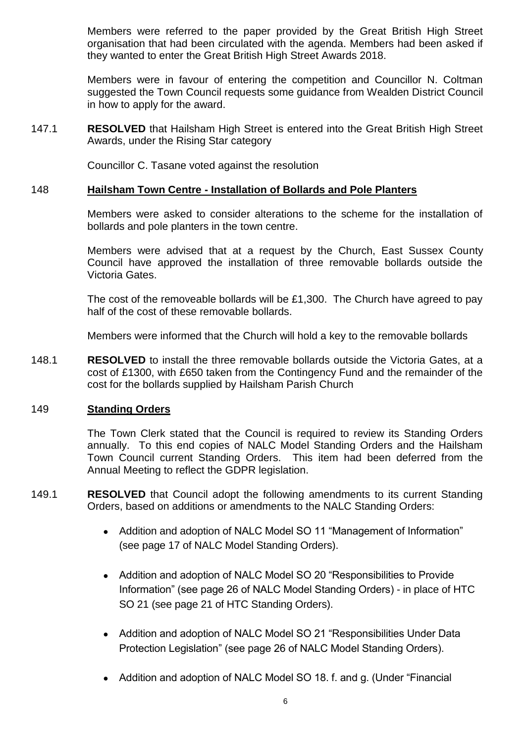Members were referred to the paper provided by the Great British High Street organisation that had been circulated with the agenda. Members had been asked if they wanted to enter the Great British High Street Awards 2018.

Members were in favour of entering the competition and Councillor N. Coltman suggested the Town Council requests some guidance from Wealden District Council in how to apply for the award.

147.1 **RESOLVED** that Hailsham High Street is entered into the Great British High Street Awards, under the Rising Star category

Councillor C. Tasane voted against the resolution

### 148 **Hailsham Town Centre - Installation of Bollards and Pole Planters**

Members were asked to consider alterations to the scheme for the installation of bollards and pole planters in the town centre.

Members were advised that at a request by the Church, East Sussex County Council have approved the installation of three removable bollards outside the Victoria Gates.

The cost of the removeable bollards will be £1,300. The Church have agreed to pay half of the cost of these removable bollards.

Members were informed that the Church will hold a key to the removable bollards

148.1 **RESOLVED** to install the three removable bollards outside the Victoria Gates, at a cost of £1300, with £650 taken from the Contingency Fund and the remainder of the cost for the bollards supplied by Hailsham Parish Church

### 149 **Standing Orders**

The Town Clerk stated that the Council is required to review its Standing Orders annually. To this end copies of NALC Model Standing Orders and the Hailsham Town Council current Standing Orders. This item had been deferred from the Annual Meeting to reflect the GDPR legislation.

- 149.1 **RESOLVED** that Council adopt the following amendments to its current Standing Orders, based on additions or amendments to the NALC Standing Orders:
	- Addition and adoption of NALC Model SO 11 "Management of Information" (see page 17 of NALC Model Standing Orders).
	- Addition and adoption of NALC Model SO 20 "Responsibilities to Provide Information" (see page 26 of NALC Model Standing Orders) - in place of HTC SO 21 (see page 21 of HTC Standing Orders).
	- Addition and adoption of NALC Model SO 21 "Responsibilities Under Data Protection Legislation" (see page 26 of NALC Model Standing Orders).
	- Addition and adoption of NALC Model SO 18. f. and g. (Under "Financial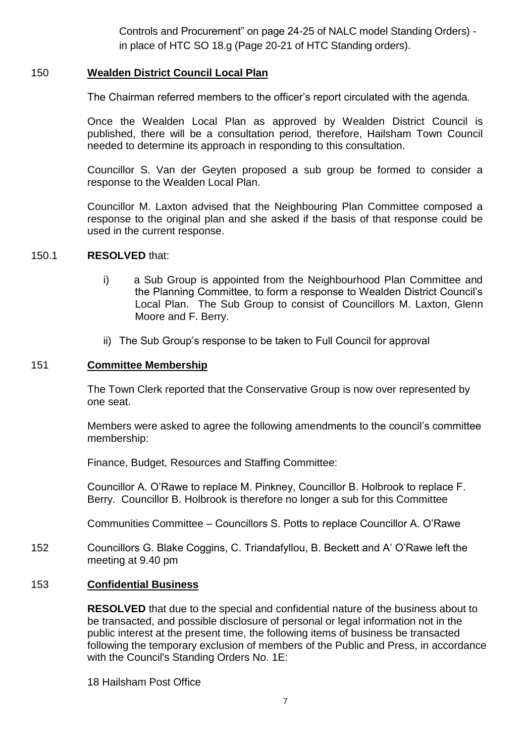Controls and Procurement" on page 24-25 of NALC model Standing Orders) in place of HTC SO 18.g (Page 20-21 of HTC Standing orders).

### 150 **Wealden District Council Local Plan**

The Chairman referred members to the officer's report circulated with the agenda.

Once the Wealden Local Plan as approved by Wealden District Council is published, there will be a consultation period, therefore, Hailsham Town Council needed to determine its approach in responding to this consultation.

Councillor S. Van der Geyten proposed a sub group be formed to consider a response to the Wealden Local Plan.

Councillor M. Laxton advised that the Neighbouring Plan Committee composed a response to the original plan and she asked if the basis of that response could be used in the current response.

### 150.1 **RESOLVED** that:

- i) a Sub Group is appointed from the Neighbourhood Plan Committee and the Planning Committee, to form a response to Wealden District Council's Local Plan. The Sub Group to consist of Councillors M. Laxton, Glenn Moore and F. Berry.
- ii) The Sub Group's response to be taken to Full Council for approval

# 151 **Committee Membership**

The Town Clerk reported that the Conservative Group is now over represented by one seat.

Members were asked to agree the following amendments to the council's committee membership:

Finance, Budget, Resources and Staffing Committee:

Councillor A. O'Rawe to replace M. Pinkney, Councillor B. Holbrook to replace F. Berry. Councillor B. Holbrook is therefore no longer a sub for this Committee

Communities Committee – Councillors S. Potts to replace Councillor A. O'Rawe

152 Councillors G. Blake Coggins, C. Triandafyllou, B. Beckett and A' O'Rawe left the meeting at 9.40 pm

# 153 **Confidential Business**

**RESOLVED** that due to the special and confidential nature of the business about to be transacted, and possible disclosure of personal or legal information not in the public interest at the present time, the following items of business be transacted following the temporary exclusion of members of the Public and Press, in accordance with the Council's Standing Orders No. 1E:

18 Hailsham Post Office